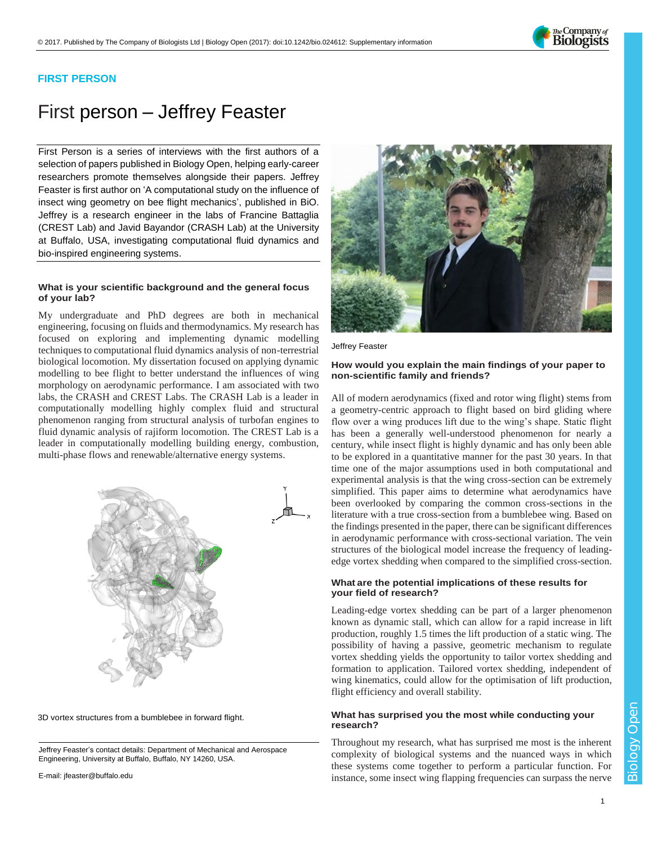

# **FIRST PERSON**

# First person – Jeffrey Feaster

First Person is a series of interviews with the first authors of a selection of papers published in Biology Open, helping early-career researchers promote themselves alongside their papers. Jeffrey Feaster is first author on ['A computational study on the influence of](http://doi.org/10.1242/bio.024612)  insect wing geometry [on bee flight mechanics'](http://doi.org/10.1242/bio.024612), published in BiO. Jeffrey is a research engineer in the labs of Francine Battaglia (CREST Lab) and Javid Bayandor (CRASH Lab) at the University at Buffalo, USA, investigating computational fluid dynamics and bio-inspired engineering systems.

### **What is your scientific background and the general focus of your lab?**

My undergraduate and PhD degrees are both in mechanical engineering, focusing on fluids and thermodynamics. My research has focused on exploring and implementing dynamic modelling techniques to computational fluid dynamics analysis of non-terrestrial biological locomotion. My dissertation focused on applying dynamic modelling to bee flight to better understand the influences of wing morphology on aerodynamic performance. I am associated with two labs, the CRASH and CREST Labs. The CRASH Lab is a leader in computationally modelling highly complex fluid and structural phenomenon ranging from structural analysis of turbofan engines to fluid dynamic analysis of rajiform locomotion. The CREST Lab is a leader in computationally modelling building energy, combustion, multi-phase flows and renewable/alternative energy systems.



3D vortex structures from a bumblebee in forward flight.

Jeffrey Feaster's contact details: Department of Mechanical and Aerospace Engineering, University at Buffalo, Buffalo, NY 14260, USA.

E-mail: [jfeaster@buffalo.edu](mailto:jfeaster@buffalo.edu)



Jeffrey Feaster

#### **How would you explain the main findings of your paper to non-scientific family and friends?**

All of modern aerodynamics (fixed and rotor wing flight) stems from a geometry-centric approach to flight based on bird gliding where flow over a wing produces lift due to the wing's shape. Static flight has been a generally well-understood phenomenon for nearly a century, while insect flight is highly dynamic and has only been able to be explored in a quantitative manner for the past 30 years. In that time one of the major assumptions used in both computational and experimental analysis is that the wing cross-section can be extremely simplified. This paper aims to determine what aerodynamics have been overlooked by comparing the common cross-sections in the literature with a true cross-section from a bumblebee wing. Based on the findings presented in the paper, there can be significant differences in aerodynamic performance with cross-sectional variation. The vein structures of the biological model increase the frequency of leadingedge vortex shedding when compared to the simplified cross-section.

#### **What are the potential implications of these results for your field of research?**

Leading-edge vortex shedding can be part of a larger phenomenon known as dynamic stall, which can allow for a rapid increase in lift production, roughly 1.5 times the lift production of a static wing. The possibility of having a passive, geometric mechanism to regulate vortex shedding yields the opportunity to tailor vortex shedding and formation to application. Tailored vortex shedding, independent of wing kinematics, could allow for the optimisation of lift production, flight efficiency and overall stability.

### **What has surprised you the most while conducting your research?**

Throughout my research, what has surprised me most is the inherent complexity of biological systems and the nuanced ways in which these systems come together to perform a particular function. For instance, some insect wing flapping frequencies can surpass the nerve